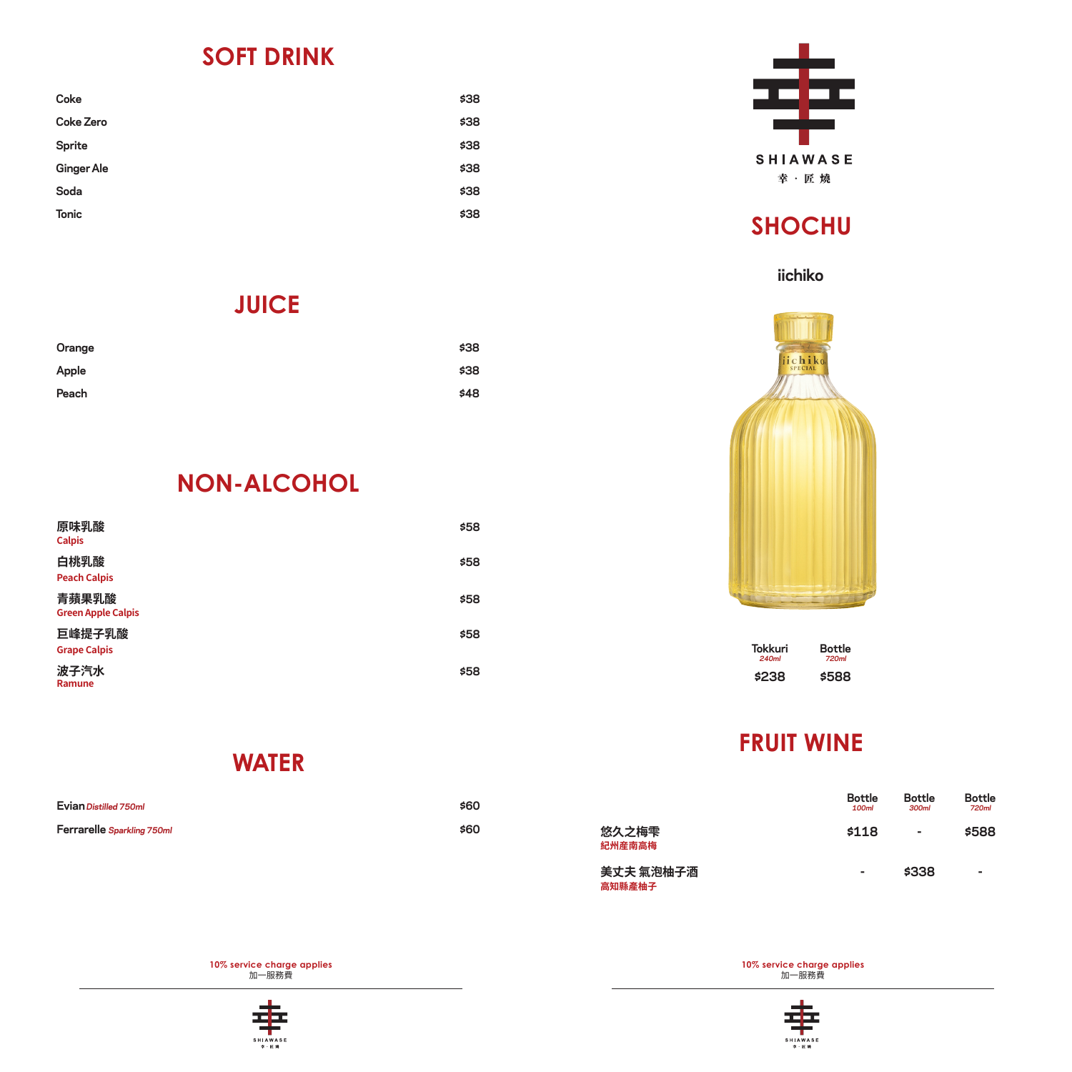#### **SOFT DRINK**

| \$38 |
|------|
| \$38 |
| \$38 |
| \$38 |
| \$38 |
| \$38 |
|      |

#### **JUICE**

| Orange | \$38 |
|--------|------|
| Apple  | \$38 |
| Peach  | \$48 |

## **NON-ALCOHOL**

| 原味乳酸<br><b>Calpis</b>              | \$58 |
|------------------------------------|------|
| 白桃乳酸<br><b>Peach Calpis</b>        | \$58 |
| 青蘋果乳酸<br><b>Green Apple Calpis</b> | \$58 |
| 巨峰提子乳酸<br><b>Grape Calpis</b>      | \$58 |
| 波子汽水<br>Ramune                     | \$58 |

**WATER**

| Evian Distilled 750ml      | \$60 |
|----------------------------|------|
| Ferrarelle Sparkling 750ml | \$60 |

**10% service charge applies**  加一服務費





# **SHOCHU**

#### **iichiko**



**\$238 Tokkuri 240ml Bottle 720ml \$588**

## **FRUIT WINE**

|                     | <b>Bottle</b><br>100ml | <b>Bottle</b><br>300ml | <b>Bottle</b><br>720ml |
|---------------------|------------------------|------------------------|------------------------|
| 悠久之梅雫<br>紀州産南高梅     | \$118                  | ٠                      | \$588                  |
| 美丈夫 氣泡柚子酒<br>高知縣產柚子 | ۰                      | \$338                  | ۰                      |

**10% service charge applies**  加一服務費